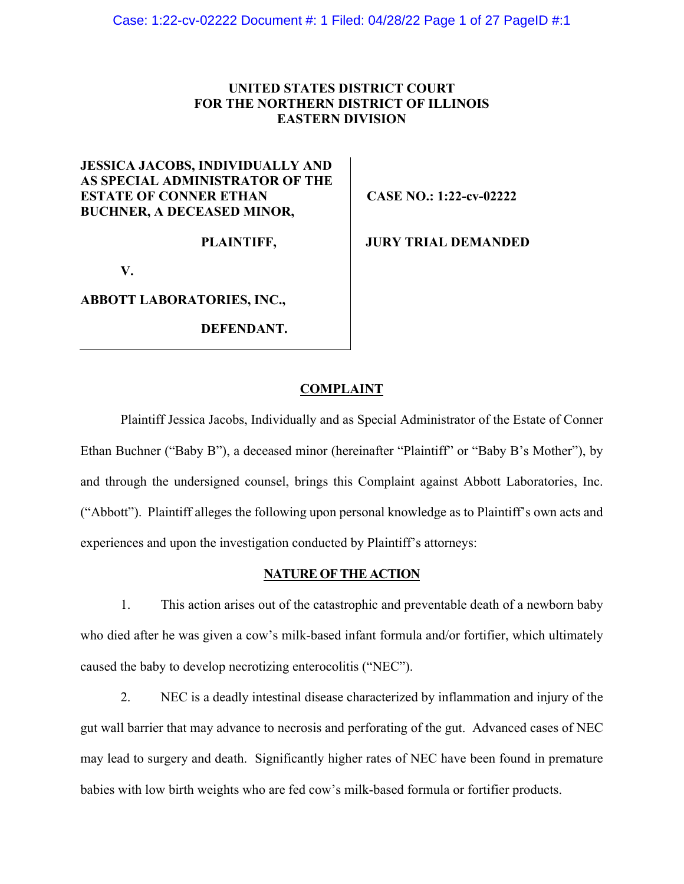# **UNITED STATES DISTRICT COURT FOR THE NORTHERN DISTRICT OF ILLINOIS EASTERN DIVISION**

# **JESSICA JACOBS, INDIVIDUALLY AND AS SPECIAL ADMINISTRATOR OF THE ESTATE OF CONNER ETHAN BUCHNER, A DECEASED MINOR,**

**PLAINTIFF,** 

**V.** 

**ABBOTT LABORATORIES, INC.,** 

**DEFENDANT.**

**CASE NO.: 1:22-cv-02222** 

**JURY TRIAL DEMANDED** 

# **COMPLAINT**

Plaintiff Jessica Jacobs, Individually and as Special Administrator of the Estate of Conner Ethan Buchner ("Baby B"), a deceased minor (hereinafter "Plaintiff" or "Baby B's Mother"), by and through the undersigned counsel, brings this Complaint against Abbott Laboratories, Inc. ("Abbott"). Plaintiff alleges the following upon personal knowledge as to Plaintiff's own acts and experiences and upon the investigation conducted by Plaintiff's attorneys:

### **NATURE OF THE ACTION**

1. This action arises out of the catastrophic and preventable death of a newborn baby who died after he was given a cow's milk-based infant formula and/or fortifier, which ultimately caused the baby to develop necrotizing enterocolitis ("NEC").

2. NEC is a deadly intestinal disease characterized by inflammation and injury of the gut wall barrier that may advance to necrosis and perforating of the gut. Advanced cases of NEC may lead to surgery and death. Significantly higher rates of NEC have been found in premature babies with low birth weights who are fed cow's milk-based formula or fortifier products.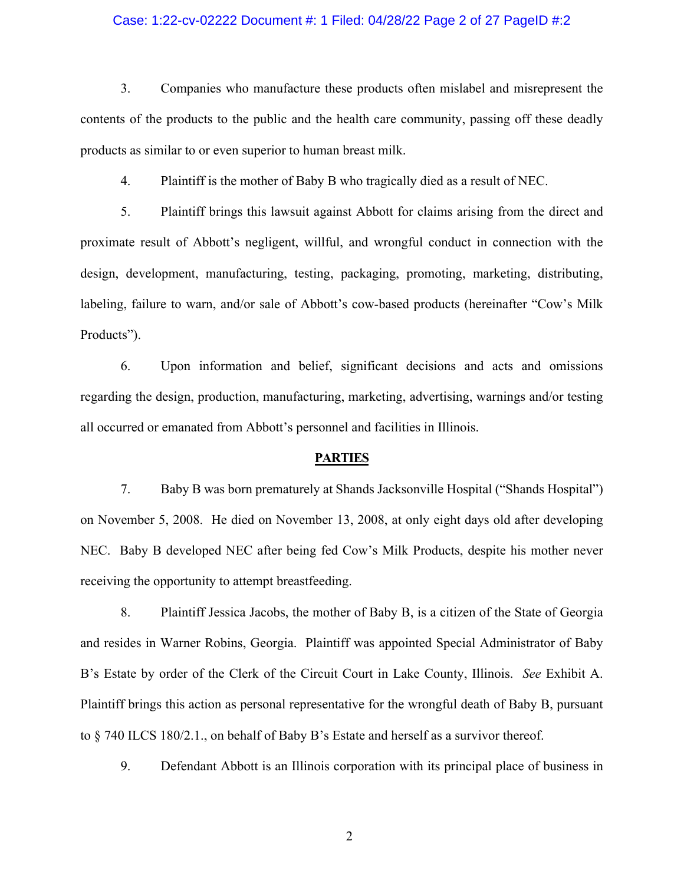### Case: 1:22-cv-02222 Document #: 1 Filed: 04/28/22 Page 2 of 27 PageID #:2

3. Companies who manufacture these products often mislabel and misrepresent the contents of the products to the public and the health care community, passing off these deadly products as similar to or even superior to human breast milk.

4. Plaintiff is the mother of Baby B who tragically died as a result of NEC.

5. Plaintiff brings this lawsuit against Abbott for claims arising from the direct and proximate result of Abbott's negligent, willful, and wrongful conduct in connection with the design, development, manufacturing, testing, packaging, promoting, marketing, distributing, labeling, failure to warn, and/or sale of Abbott's cow-based products (hereinafter "Cow's Milk Products").

6. Upon information and belief, significant decisions and acts and omissions regarding the design, production, manufacturing, marketing, advertising, warnings and/or testing all occurred or emanated from Abbott's personnel and facilities in Illinois.

### **PARTIES**

7. Baby B was born prematurely at Shands Jacksonville Hospital ("Shands Hospital") on November 5, 2008. He died on November 13, 2008, at only eight days old after developing NEC. Baby B developed NEC after being fed Cow's Milk Products, despite his mother never receiving the opportunity to attempt breastfeeding.

8. Plaintiff Jessica Jacobs, the mother of Baby B, is a citizen of the State of Georgia and resides in Warner Robins, Georgia. Plaintiff was appointed Special Administrator of Baby B's Estate by order of the Clerk of the Circuit Court in Lake County, Illinois. *See* Exhibit A. Plaintiff brings this action as personal representative for the wrongful death of Baby B, pursuant to § 740 ILCS 180/2.1., on behalf of Baby B's Estate and herself as a survivor thereof.

9. Defendant Abbott is an Illinois corporation with its principal place of business in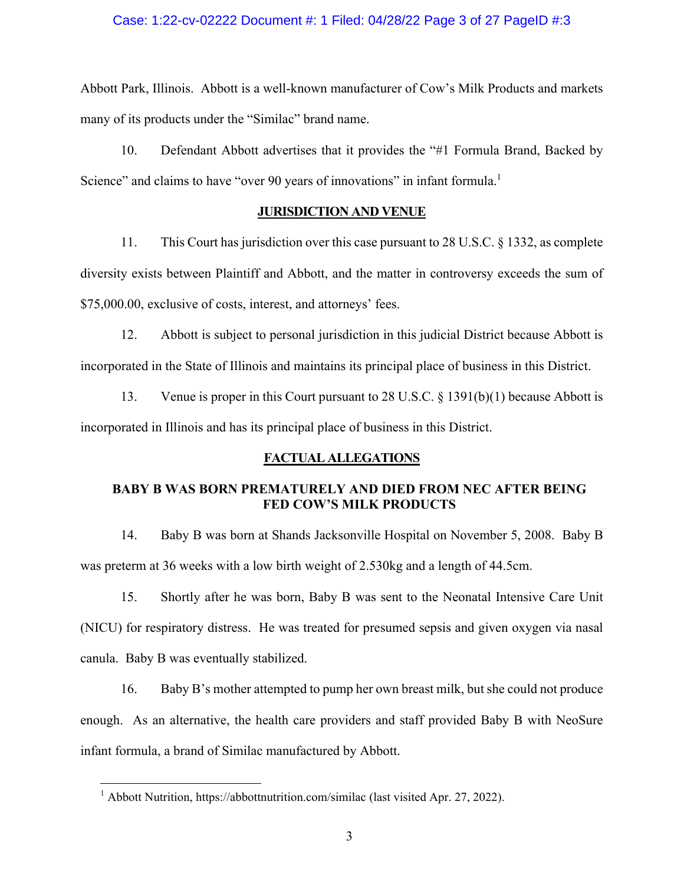### Case: 1:22-cv-02222 Document #: 1 Filed: 04/28/22 Page 3 of 27 PageID #:3

Abbott Park, Illinois. Abbott is a well-known manufacturer of Cow's Milk Products and markets many of its products under the "Similac" brand name.

10. Defendant Abbott advertises that it provides the "#1 Formula Brand, Backed by Science" and claims to have "over 90 years of innovations" in infant formula.<sup>1</sup>

### **JURISDICTION AND VENUE**

11. This Court has jurisdiction over this case pursuant to 28 U.S.C. § 1332, as complete diversity exists between Plaintiff and Abbott, and the matter in controversy exceeds the sum of \$75,000.00, exclusive of costs, interest, and attorneys' fees.

12. Abbott is subject to personal jurisdiction in this judicial District because Abbott is incorporated in the State of Illinois and maintains its principal place of business in this District.

13. Venue is proper in this Court pursuant to 28 U.S.C. § 1391(b)(1) because Abbott is incorporated in Illinois and has its principal place of business in this District.

### **FACTUAL ALLEGATIONS**

# **BABY B WAS BORN PREMATURELY AND DIED FROM NEC AFTER BEING FED COW'S MILK PRODUCTS**

14. Baby B was born at Shands Jacksonville Hospital on November 5, 2008. Baby B was preterm at 36 weeks with a low birth weight of 2.530kg and a length of 44.5cm.

15. Shortly after he was born, Baby B was sent to the Neonatal Intensive Care Unit (NICU) for respiratory distress. He was treated for presumed sepsis and given oxygen via nasal canula. Baby B was eventually stabilized.

16. Baby B's mother attempted to pump her own breast milk, but she could not produce enough. As an alternative, the health care providers and staff provided Baby B with NeoSure infant formula, a brand of Similac manufactured by Abbott.

<sup>&</sup>lt;sup>1</sup> Abbott Nutrition, https://abbottnutrition.com/similac (last visited Apr. 27, 2022).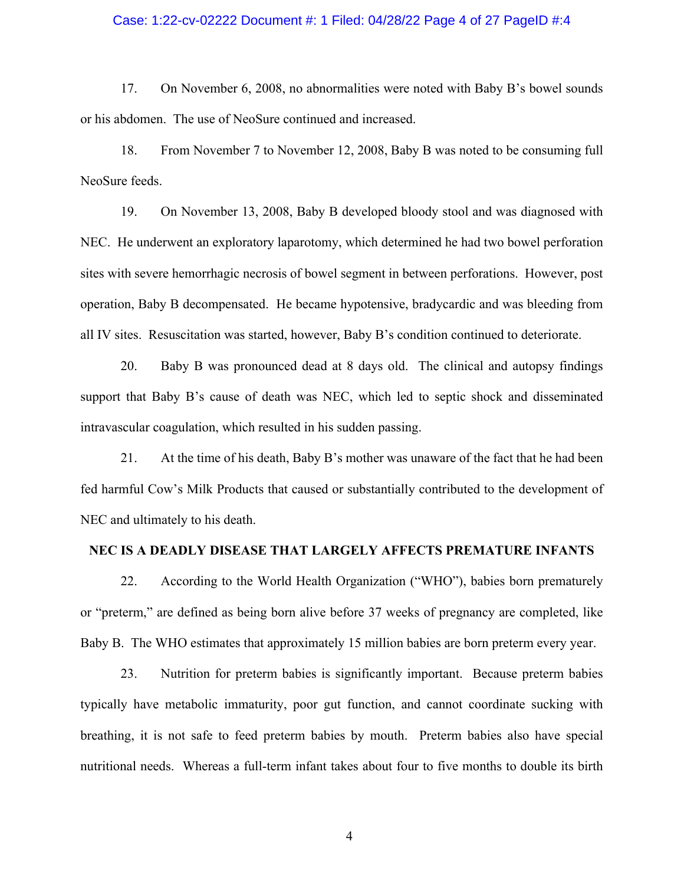### Case: 1:22-cv-02222 Document #: 1 Filed: 04/28/22 Page 4 of 27 PageID #:4

17. On November 6, 2008, no abnormalities were noted with Baby B's bowel sounds or his abdomen. The use of NeoSure continued and increased.

18. From November 7 to November 12, 2008, Baby B was noted to be consuming full NeoSure feeds.

19. On November 13, 2008, Baby B developed bloody stool and was diagnosed with NEC. He underwent an exploratory laparotomy, which determined he had two bowel perforation sites with severe hemorrhagic necrosis of bowel segment in between perforations. However, post operation, Baby B decompensated. He became hypotensive, bradycardic and was bleeding from all IV sites. Resuscitation was started, however, Baby B's condition continued to deteriorate.

20. Baby B was pronounced dead at 8 days old. The clinical and autopsy findings support that Baby B's cause of death was NEC, which led to septic shock and disseminated intravascular coagulation, which resulted in his sudden passing.

21. At the time of his death, Baby B's mother was unaware of the fact that he had been fed harmful Cow's Milk Products that caused or substantially contributed to the development of NEC and ultimately to his death.

### **NEC IS A DEADLY DISEASE THAT LARGELY AFFECTS PREMATURE INFANTS**

22. According to the World Health Organization ("WHO"), babies born prematurely or "preterm," are defined as being born alive before 37 weeks of pregnancy are completed, like Baby B. The WHO estimates that approximately 15 million babies are born preterm every year.

23. Nutrition for preterm babies is significantly important. Because preterm babies typically have metabolic immaturity, poor gut function, and cannot coordinate sucking with breathing, it is not safe to feed preterm babies by mouth. Preterm babies also have special nutritional needs. Whereas a full-term infant takes about four to five months to double its birth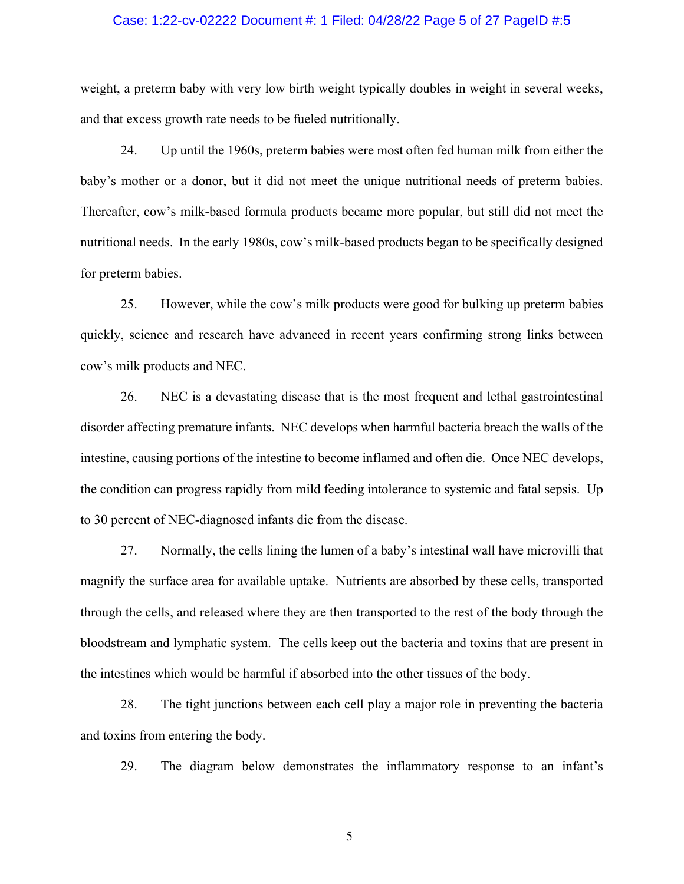### Case: 1:22-cv-02222 Document #: 1 Filed: 04/28/22 Page 5 of 27 PageID #:5

weight, a preterm baby with very low birth weight typically doubles in weight in several weeks, and that excess growth rate needs to be fueled nutritionally.

24. Up until the 1960s, preterm babies were most often fed human milk from either the baby's mother or a donor, but it did not meet the unique nutritional needs of preterm babies. Thereafter, cow's milk-based formula products became more popular, but still did not meet the nutritional needs. In the early 1980s, cow's milk-based products began to be specifically designed for preterm babies.

25. However, while the cow's milk products were good for bulking up preterm babies quickly, science and research have advanced in recent years confirming strong links between cow's milk products and NEC.

26. NEC is a devastating disease that is the most frequent and lethal gastrointestinal disorder affecting premature infants. NEC develops when harmful bacteria breach the walls of the intestine, causing portions of the intestine to become inflamed and often die. Once NEC develops, the condition can progress rapidly from mild feeding intolerance to systemic and fatal sepsis. Up to 30 percent of NEC-diagnosed infants die from the disease.

27. Normally, the cells lining the lumen of a baby's intestinal wall have microvilli that magnify the surface area for available uptake. Nutrients are absorbed by these cells, transported through the cells, and released where they are then transported to the rest of the body through the bloodstream and lymphatic system. The cells keep out the bacteria and toxins that are present in the intestines which would be harmful if absorbed into the other tissues of the body.

28. The tight junctions between each cell play a major role in preventing the bacteria and toxins from entering the body.

29. The diagram below demonstrates the inflammatory response to an infant's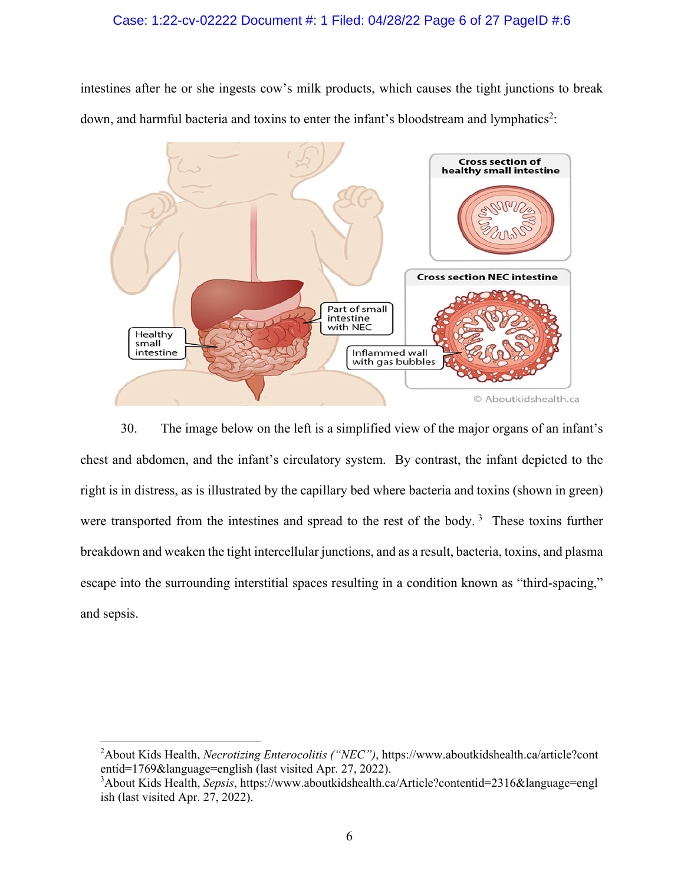## Case: 1:22-cv-02222 Document #: 1 Filed: 04/28/22 Page 6 of 27 PageID #:6

intestines after he or she ingests cow's milk products, which causes the tight junctions to break down, and harmful bacteria and toxins to enter the infant's bloodstream and lymphatics<sup>2</sup>:



30. The image below on the left is a simplified view of the major organs of an infant's chest and abdomen, and the infant's circulatory system. By contrast, the infant depicted to the right is in distress, as is illustrated by the capillary bed where bacteria and toxins (shown in green) were transported from the intestines and spread to the rest of the body.<sup>3</sup> These toxins further breakdown and weaken the tight intercellular junctions, and as a result, bacteria, toxins, and plasma escape into the surrounding interstitial spaces resulting in a condition known as "third-spacing," and sepsis.

<sup>2</sup> About Kids Health, *Necrotizing Enterocolitis ("NEC")*, https://www.aboutkidshealth.ca/article?cont entid=1769&language=english (last visited Apr. 27, 2022).

<sup>3</sup> About Kids Health, *Sepsis*, https://www.aboutkidshealth.ca/Article?contentid=2316&language=engl ish (last visited Apr. 27, 2022).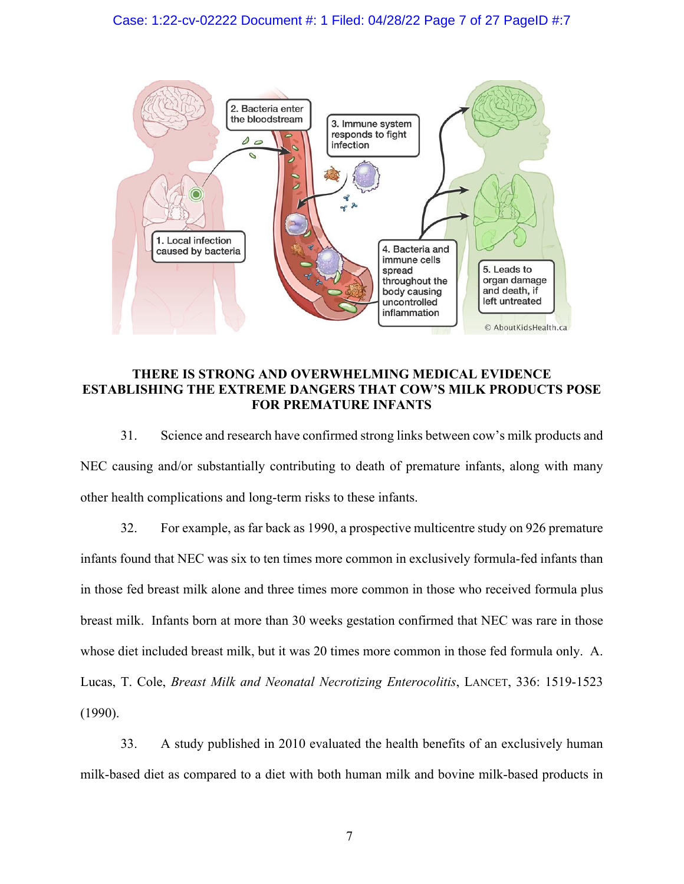# Case: 1:22-cv-02222 Document #: 1 Filed: 04/28/22 Page 7 of 27 PageID #:7



# **THERE IS STRONG AND OVERWHELMING MEDICAL EVIDENCE ESTABLISHING THE EXTREME DANGERS THAT COW'S MILK PRODUCTS POSE FOR PREMATURE INFANTS**

31. Science and research have confirmed strong links between cow's milk products and NEC causing and/or substantially contributing to death of premature infants, along with many other health complications and long-term risks to these infants.

32. For example, as far back as 1990, a prospective multicentre study on 926 premature infants found that NEC was six to ten times more common in exclusively formula-fed infants than in those fed breast milk alone and three times more common in those who received formula plus breast milk. Infants born at more than 30 weeks gestation confirmed that NEC was rare in those whose diet included breast milk, but it was 20 times more common in those fed formula only. A. Lucas, T. Cole, *Breast Milk and Neonatal Necrotizing Enterocolitis*, LANCET, 336: 1519-1523 (1990).

33. A study published in 2010 evaluated the health benefits of an exclusively human milk-based diet as compared to a diet with both human milk and bovine milk-based products in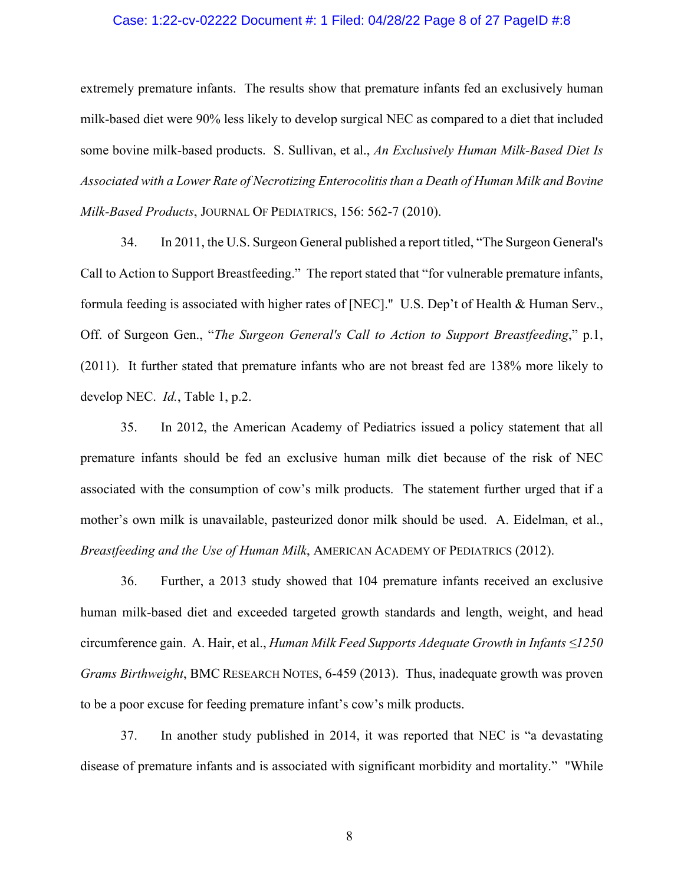### Case: 1:22-cv-02222 Document #: 1 Filed: 04/28/22 Page 8 of 27 PageID #:8

extremely premature infants. The results show that premature infants fed an exclusively human milk-based diet were 90% less likely to develop surgical NEC as compared to a diet that included some bovine milk-based products. S. Sullivan, et al., *An Exclusively Human Milk-Based Diet Is Associated with a Lower Rate of Necrotizing Enterocolitis than a Death of Human Milk and Bovine Milk-Based Products*, JOURNAL OF PEDIATRICS, 156: 562-7 (2010).

34. In 2011, the U.S. Surgeon General published a report titled, "The Surgeon General's Call to Action to Support Breastfeeding." The report stated that "for vulnerable premature infants, formula feeding is associated with higher rates of [NEC]." U.S. Dep't of Health & Human Serv., Off. of Surgeon Gen., "*The Surgeon General's Call to Action to Support Breastfeeding*," p.1, (2011). It further stated that premature infants who are not breast fed are 138% more likely to develop NEC. *Id.*, Table 1, p.2.

35. In 2012, the American Academy of Pediatrics issued a policy statement that all premature infants should be fed an exclusive human milk diet because of the risk of NEC associated with the consumption of cow's milk products. The statement further urged that if a mother's own milk is unavailable, pasteurized donor milk should be used. A. Eidelman, et al., *Breastfeeding and the Use of Human Milk*, AMERICAN ACADEMY OF PEDIATRICS (2012).

36. Further, a 2013 study showed that 104 premature infants received an exclusive human milk-based diet and exceeded targeted growth standards and length, weight, and head circumference gain. A. Hair, et al., *Human Milk Feed Supports Adequate Growth in Infants ≤1250 Grams Birthweight*, BMC RESEARCH NOTES, 6-459 (2013). Thus, inadequate growth was proven to be a poor excuse for feeding premature infant's cow's milk products.

37. In another study published in 2014, it was reported that NEC is "a devastating disease of premature infants and is associated with significant morbidity and mortality." "While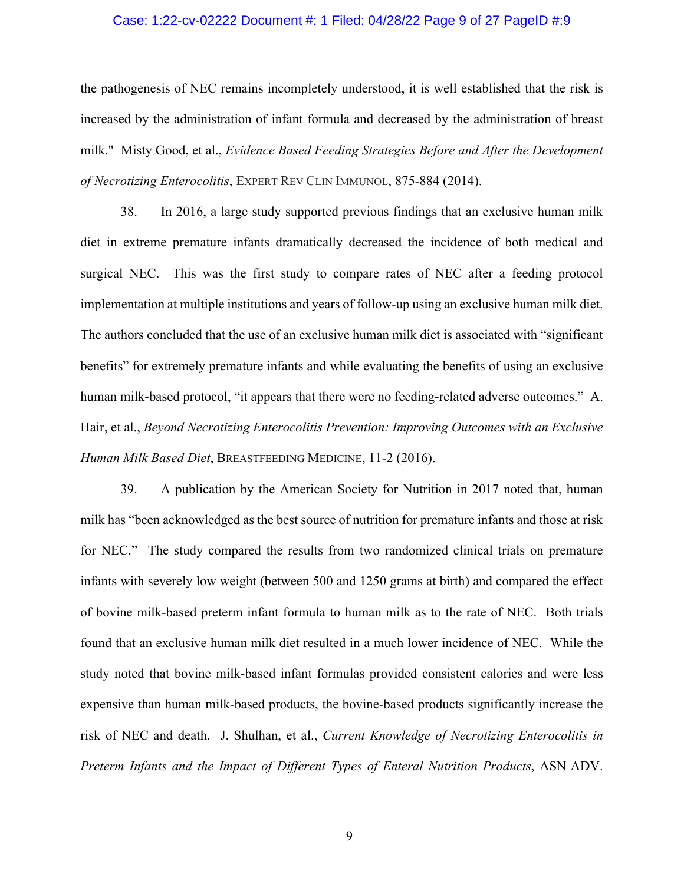### Case: 1:22-cv-02222 Document #: 1 Filed: 04/28/22 Page 9 of 27 PageID #:9

the pathogenesis of NEC remains incompletely understood, it is well established that the risk is increased by the administration of infant formula and decreased by the administration of breast milk." Misty Good, et al., *Evidence Based Feeding Strategies Before and After the Development of Necrotizing Enterocolitis*, EXPERT REV CLIN IMMUNOL, 875-884 (2014).

38. In 2016, a large study supported previous findings that an exclusive human milk diet in extreme premature infants dramatically decreased the incidence of both medical and surgical NEC. This was the first study to compare rates of NEC after a feeding protocol implementation at multiple institutions and years of follow-up using an exclusive human milk diet. The authors concluded that the use of an exclusive human milk diet is associated with "significant benefits" for extremely premature infants and while evaluating the benefits of using an exclusive human milk-based protocol, "it appears that there were no feeding-related adverse outcomes." A. Hair, et al., *Beyond Necrotizing Enterocolitis Prevention: Improving Outcomes with an Exclusive Human Milk Based Diet*, BREASTFEEDING MEDICINE, 11-2 (2016).

39. A publication by the American Society for Nutrition in 2017 noted that, human milk has "been acknowledged as the best source of nutrition for premature infants and those at risk for NEC." The study compared the results from two randomized clinical trials on premature infants with severely low weight (between 500 and 1250 grams at birth) and compared the effect of bovine milk-based preterm infant formula to human milk as to the rate of NEC. Both trials found that an exclusive human milk diet resulted in a much lower incidence of NEC. While the study noted that bovine milk-based infant formulas provided consistent calories and were less expensive than human milk-based products, the bovine-based products significantly increase the risk of NEC and death. J. Shulhan, et al., *Current Knowledge of Necrotizing Enterocolitis in Preterm Infants and the Impact of Different Types of Enteral Nutrition Products*, ASN ADV.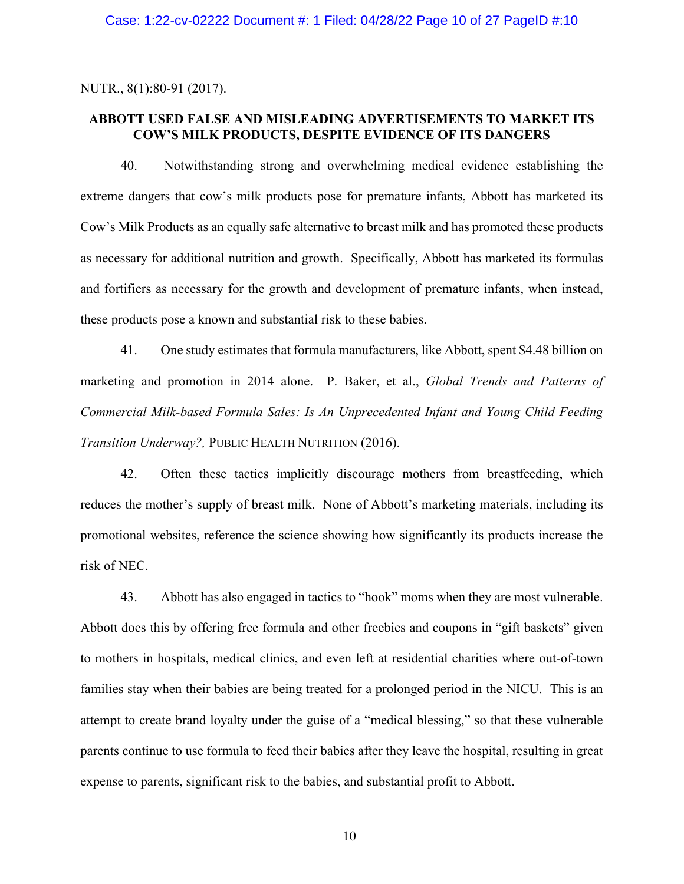NUTR., 8(1):80-91 (2017).

## **ABBOTT USED FALSE AND MISLEADING ADVERTISEMENTS TO MARKET ITS COW'S MILK PRODUCTS, DESPITE EVIDENCE OF ITS DANGERS**

40. Notwithstanding strong and overwhelming medical evidence establishing the extreme dangers that cow's milk products pose for premature infants, Abbott has marketed its Cow's Milk Products as an equally safe alternative to breast milk and has promoted these products as necessary for additional nutrition and growth. Specifically, Abbott has marketed its formulas and fortifiers as necessary for the growth and development of premature infants, when instead, these products pose a known and substantial risk to these babies.

41. One study estimates that formula manufacturers, like Abbott, spent \$4.48 billion on marketing and promotion in 2014 alone. P. Baker, et al., *Global Trends and Patterns of Commercial Milk-based Formula Sales: Is An Unprecedented Infant and Young Child Feeding Transition Underway?,* PUBLIC HEALTH NUTRITION (2016).

42. Often these tactics implicitly discourage mothers from breastfeeding, which reduces the mother's supply of breast milk. None of Abbott's marketing materials, including its promotional websites, reference the science showing how significantly its products increase the risk of NEC.

43. Abbott has also engaged in tactics to "hook" moms when they are most vulnerable. Abbott does this by offering free formula and other freebies and coupons in "gift baskets" given to mothers in hospitals, medical clinics, and even left at residential charities where out-of-town families stay when their babies are being treated for a prolonged period in the NICU. This is an attempt to create brand loyalty under the guise of a "medical blessing," so that these vulnerable parents continue to use formula to feed their babies after they leave the hospital, resulting in great expense to parents, significant risk to the babies, and substantial profit to Abbott.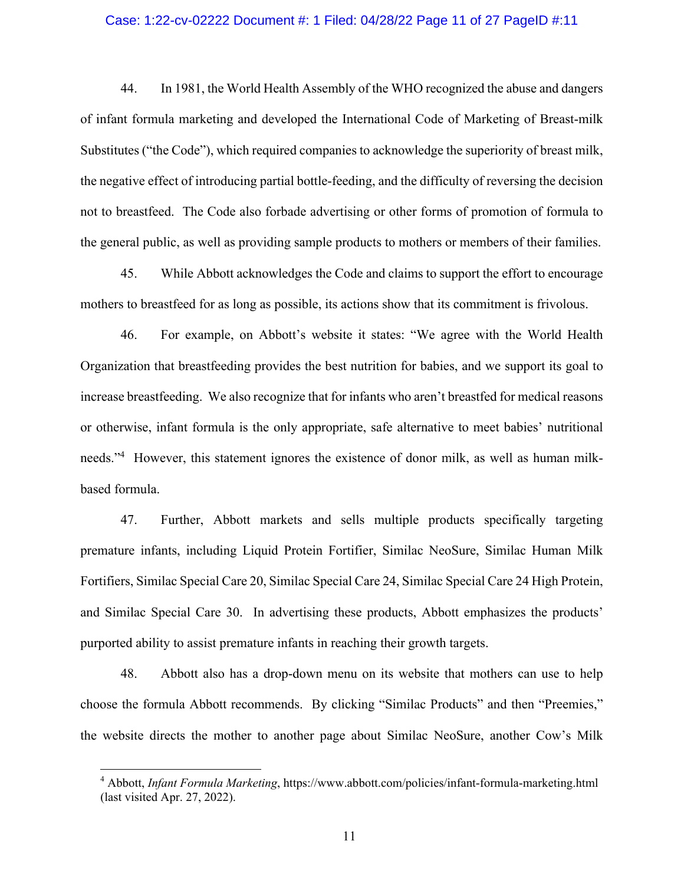### Case: 1:22-cv-02222 Document #: 1 Filed: 04/28/22 Page 11 of 27 PageID #:11

44. In 1981, the World Health Assembly of the WHO recognized the abuse and dangers of infant formula marketing and developed the International Code of Marketing of Breast-milk Substitutes ("the Code"), which required companies to acknowledge the superiority of breast milk, the negative effect of introducing partial bottle-feeding, and the difficulty of reversing the decision not to breastfeed. The Code also forbade advertising or other forms of promotion of formula to the general public, as well as providing sample products to mothers or members of their families.

45. While Abbott acknowledges the Code and claims to support the effort to encourage mothers to breastfeed for as long as possible, its actions show that its commitment is frivolous.

46. For example, on Abbott's website it states: "We agree with the World Health Organization that breastfeeding provides the best nutrition for babies, and we support its goal to increase breastfeeding. We also recognize that for infants who aren't breastfed for medical reasons or otherwise, infant formula is the only appropriate, safe alternative to meet babies' nutritional needs."4 However, this statement ignores the existence of donor milk, as well as human milkbased formula.

47. Further, Abbott markets and sells multiple products specifically targeting premature infants, including Liquid Protein Fortifier, Similac NeoSure, Similac Human Milk Fortifiers, Similac Special Care 20, Similac Special Care 24, Similac Special Care 24 High Protein, and Similac Special Care 30. In advertising these products, Abbott emphasizes the products' purported ability to assist premature infants in reaching their growth targets.

48. Abbott also has a drop-down menu on its website that mothers can use to help choose the formula Abbott recommends. By clicking "Similac Products" and then "Preemies," the website directs the mother to another page about Similac NeoSure, another Cow's Milk

<sup>4</sup> Abbott, *Infant Formula Marketing*, https://www.abbott.com/policies/infant-formula-marketing.html (last visited Apr. 27, 2022).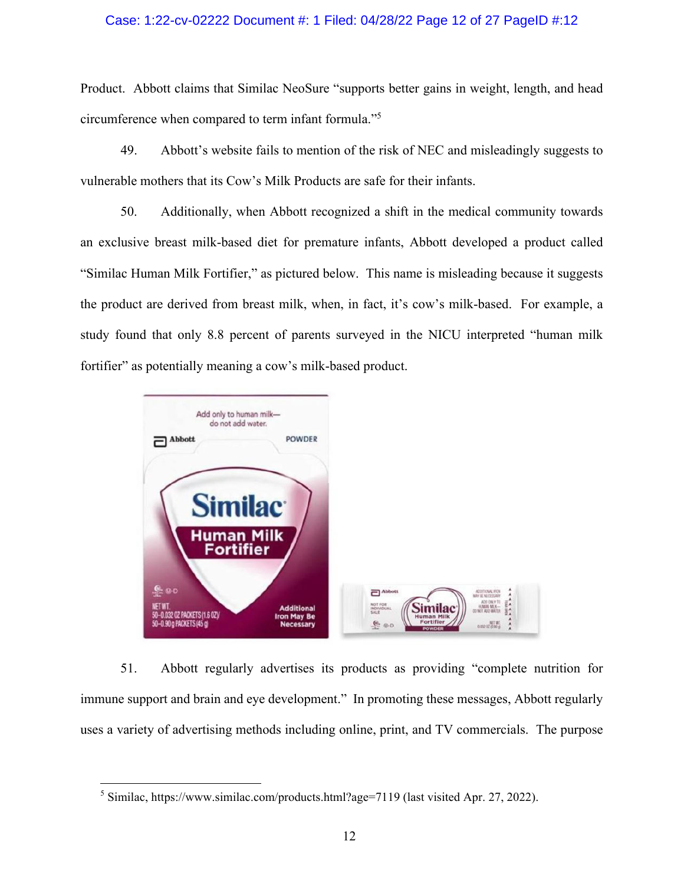### Case: 1:22-cv-02222 Document #: 1 Filed: 04/28/22 Page 12 of 27 PageID #:12

Product. Abbott claims that Similac NeoSure "supports better gains in weight, length, and head circumference when compared to term infant formula."5

49. Abbott's website fails to mention of the risk of NEC and misleadingly suggests to vulnerable mothers that its Cow's Milk Products are safe for their infants.

50. Additionally, when Abbott recognized a shift in the medical community towards an exclusive breast milk-based diet for premature infants, Abbott developed a product called "Similac Human Milk Fortifier," as pictured below. This name is misleading because it suggests the product are derived from breast milk, when, in fact, it's cow's milk-based. For example, a study found that only 8.8 percent of parents surveyed in the NICU interpreted "human milk fortifier" as potentially meaning a cow's milk-based product.



51. Abbott regularly advertises its products as providing "complete nutrition for immune support and brain and eye development." In promoting these messages, Abbott regularly uses a variety of advertising methods including online, print, and TV commercials. The purpose

<sup>&</sup>lt;sup>5</sup> Similac, https://www.similac.com/products.html?age=7119 (last visited Apr. 27, 2022).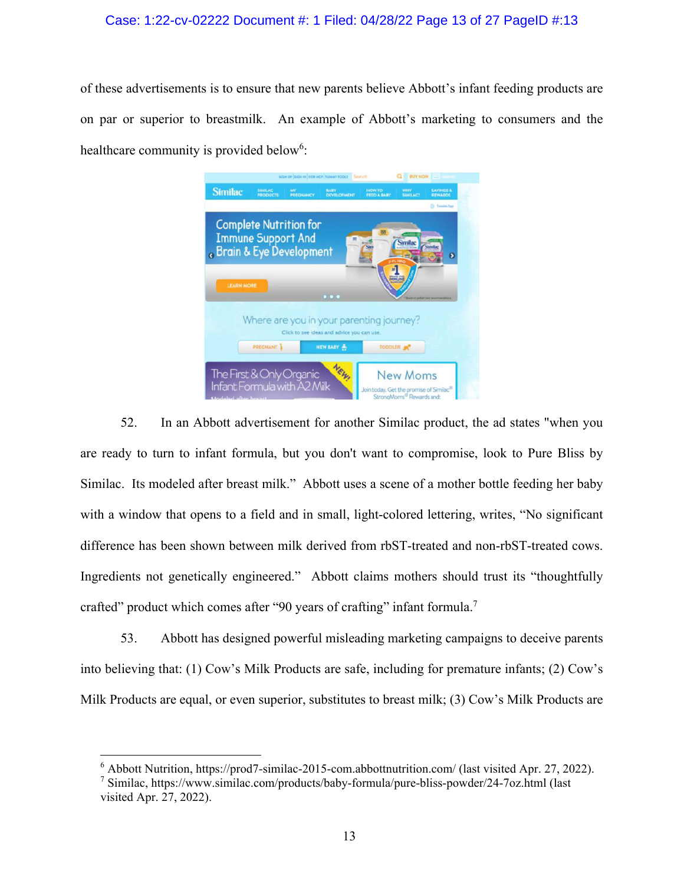## Case: 1:22-cv-02222 Document #: 1 Filed: 04/28/22 Page 13 of 27 PageID #:13

of these advertisements is to ensure that new parents believe Abbott's infant feeding products are on par or superior to breastmilk. An example of Abbott's marketing to consumers and the healthcare community is provided below<sup>6</sup>:

|                                                                                                                                           | SIGN UP SIGN IN FOR HCP TUMMY TOOLS Sinarch             |                              | <b>BUY NOW THEFT</b>                                                                                |
|-------------------------------------------------------------------------------------------------------------------------------------------|---------------------------------------------------------|------------------------------|-----------------------------------------------------------------------------------------------------|
| <b>Similac</b><br>SIMILAC<br><b>PRODUCTS</b>                                                                                              | BABY.<br>MY.<br><b>PREGIUNICY</b><br><b>DEVELOPMENT</b> | <b>HOW TO</b><br>FEED A BARY | <b>SAVINGS &amp;</b><br><b>WHY</b><br><b>SIMILACT</b><br><b>REWARDS</b>                             |
|                                                                                                                                           |                                                         |                              | 73 Transfers Page                                                                                   |
| <b>Complete Nutrition for</b><br><b>Immune Support And</b><br>. Brain & Eye Development                                                   |                                                         |                              | <b>Similac</b><br><b>Jenita</b>                                                                     |
| <b>LEARN MORE</b>                                                                                                                         | $\bullet\bullet\bullet$                                 | HMUN                         |                                                                                                     |
| Where are you in your parenting journey?<br>Click to see ideas and advice you can use.<br>NEW BABY<br><b>PREGNANT</b><br>TODDLER <b>N</b> |                                                         |                              |                                                                                                     |
| The First & Only Organic<br>Infant Formula with A2 Milk<br><b>Undeked after hreat</b>                                                     | NEW                                                     |                              | <b>New Moms</b><br>Join today. Get the promise of Similac®<br>StrongMorns <sup>®</sup> Rewards and: |

52. In an Abbott advertisement for another Similac product, the ad states "when you are ready to turn to infant formula, but you don't want to compromise, look to Pure Bliss by Similac. Its modeled after breast milk." Abbott uses a scene of a mother bottle feeding her baby with a window that opens to a field and in small, light-colored lettering, writes, "No significant difference has been shown between milk derived from rbST-treated and non-rbST-treated cows. Ingredients not genetically engineered." Abbott claims mothers should trust its "thoughtfully crafted" product which comes after "90 years of crafting" infant formula.<sup>7</sup>

53. Abbott has designed powerful misleading marketing campaigns to deceive parents into believing that: (1) Cow's Milk Products are safe, including for premature infants; (2) Cow's Milk Products are equal, or even superior, substitutes to breast milk; (3) Cow's Milk Products are

<sup>6</sup> Abbott Nutrition, https://prod7-similac-2015-com.abbottnutrition.com/ (last visited Apr. 27, 2022).

<sup>7</sup> Similac, https://www.similac.com/products/baby-formula/pure-bliss-powder/24-7oz.html (last visited Apr. 27, 2022).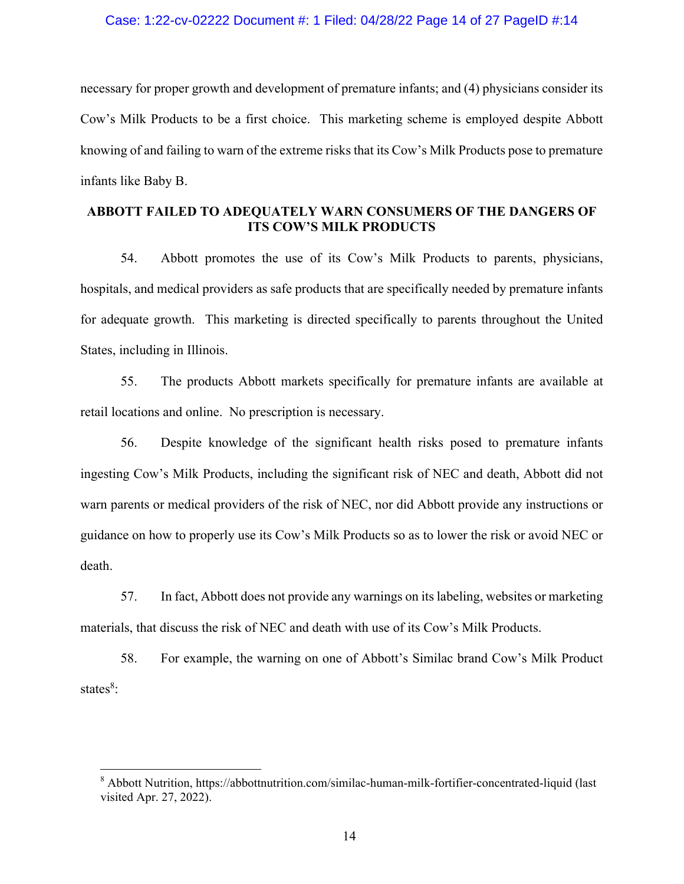### Case: 1:22-cv-02222 Document #: 1 Filed: 04/28/22 Page 14 of 27 PageID #:14

necessary for proper growth and development of premature infants; and (4) physicians consider its Cow's Milk Products to be a first choice. This marketing scheme is employed despite Abbott knowing of and failing to warn of the extreme risks that its Cow's Milk Products pose to premature infants like Baby B.

# **ABBOTT FAILED TO ADEQUATELY WARN CONSUMERS OF THE DANGERS OF ITS COW'S MILK PRODUCTS**

54. Abbott promotes the use of its Cow's Milk Products to parents, physicians, hospitals, and medical providers as safe products that are specifically needed by premature infants for adequate growth. This marketing is directed specifically to parents throughout the United States, including in Illinois.

55. The products Abbott markets specifically for premature infants are available at retail locations and online. No prescription is necessary.

56. Despite knowledge of the significant health risks posed to premature infants ingesting Cow's Milk Products, including the significant risk of NEC and death, Abbott did not warn parents or medical providers of the risk of NEC, nor did Abbott provide any instructions or guidance on how to properly use its Cow's Milk Products so as to lower the risk or avoid NEC or death.

57. In fact, Abbott does not provide any warnings on its labeling, websites or marketing materials, that discuss the risk of NEC and death with use of its Cow's Milk Products.

58. For example, the warning on one of Abbott's Similac brand Cow's Milk Product states<sup>8</sup>:

<sup>&</sup>lt;sup>8</sup> Abbott Nutrition, https://abbottnutrition.com/similac-human-milk-fortifier-concentrated-liquid (last visited Apr. 27, 2022).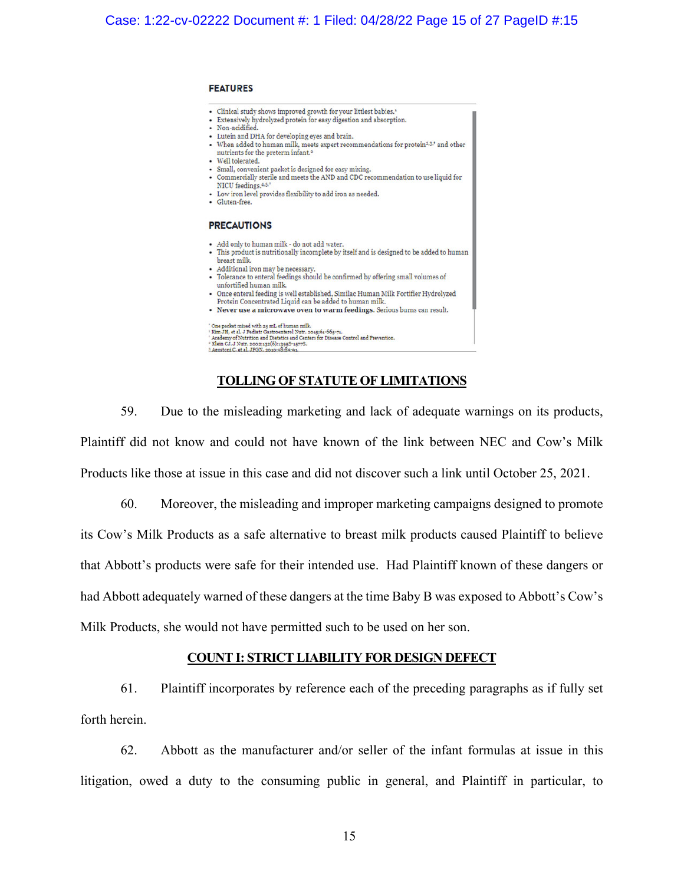#### **FEATURES**

- · Clinical study shows improved growth for your littlest babies.<sup>1</sup>
- Extensively hydrolyzed protein for easy digestion and absorption.
- Non-acidified. - Lutein and DHA for developing eyes and brain.
- When added to human milk, meets expert recommendations for protein<sup>2,3,</sup>\* and other
	- nutrients for the preterm infant.<sup>2</sup>
- · Well tolerated.
- · Small, convenient packet is designed for easy mixing.
- Commercially sterile and meets the AND and CDC recommendation to use liquid for
- NICU feedings. 4.5.7 • Low iron level provides flexibility to add iron as needed.
- · Gluten-free.

#### **PRECAUTIONS**

- Add only to human milk do not add water.
- This product is nutritionally incomplete by itself and is designed to be added to human breast milk.
- Additional iron may be necessary.
- Tolerance to enteral feedings should be confirmed by offering small volumes of unfortified human milk.
- Once enteral feeding is well established, Similac Human Milk Fortifier Hydrolyzed
- Protein Concentrated Liquid can be added to human milk. · Never use a microwave oven to warm feedings. Serious burns can result.

#### One packet mixed with 25 mL of human milk

- Our packet masses what symmetric INstitutes of Styre-SSy-71.<br>
Film JH, et al. J Pediatr Gastroenterol Nutr. 2015/61-665-71.<br>
"Kim JH, et al. J Pediatr Gastroenterol Nutr. 2015/61-665-71.<br>
"Kim CJ. J Nutr. 2002132(61:3955-
- 

### **TOLLING OF STATUTE OF LIMITATIONS**

59. Due to the misleading marketing and lack of adequate warnings on its products, Plaintiff did not know and could not have known of the link between NEC and Cow's Milk Products like those at issue in this case and did not discover such a link until October 25, 2021.

60. Moreover, the misleading and improper marketing campaigns designed to promote its Cow's Milk Products as a safe alternative to breast milk products caused Plaintiff to believe that Abbott's products were safe for their intended use. Had Plaintiff known of these dangers or had Abbott adequately warned of these dangers at the time Baby B was exposed to Abbott's Cow's Milk Products, she would not have permitted such to be used on her son.

### **COUNT I: STRICT LIABILITY FOR DESIGN DEFECT**

61. Plaintiff incorporates by reference each of the preceding paragraphs as if fully set forth herein.

62. Abbott as the manufacturer and/or seller of the infant formulas at issue in this litigation, owed a duty to the consuming public in general, and Plaintiff in particular, to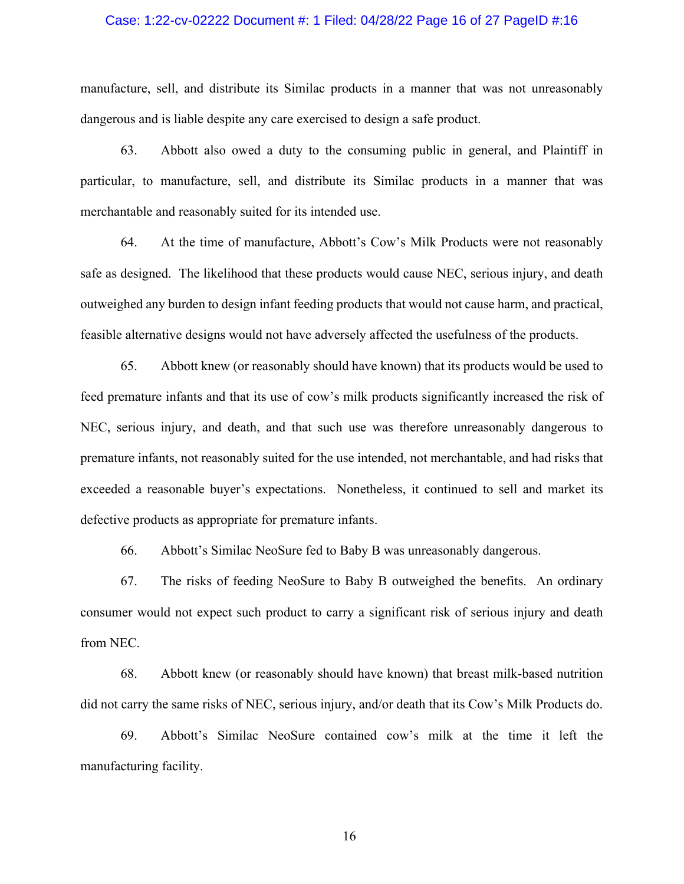### Case: 1:22-cv-02222 Document #: 1 Filed: 04/28/22 Page 16 of 27 PageID #:16

manufacture, sell, and distribute its Similac products in a manner that was not unreasonably dangerous and is liable despite any care exercised to design a safe product.

63. Abbott also owed a duty to the consuming public in general, and Plaintiff in particular, to manufacture, sell, and distribute its Similac products in a manner that was merchantable and reasonably suited for its intended use.

64. At the time of manufacture, Abbott's Cow's Milk Products were not reasonably safe as designed. The likelihood that these products would cause NEC, serious injury, and death outweighed any burden to design infant feeding products that would not cause harm, and practical, feasible alternative designs would not have adversely affected the usefulness of the products.

65. Abbott knew (or reasonably should have known) that its products would be used to feed premature infants and that its use of cow's milk products significantly increased the risk of NEC, serious injury, and death, and that such use was therefore unreasonably dangerous to premature infants, not reasonably suited for the use intended, not merchantable, and had risks that exceeded a reasonable buyer's expectations. Nonetheless, it continued to sell and market its defective products as appropriate for premature infants.

66. Abbott's Similac NeoSure fed to Baby B was unreasonably dangerous.

67. The risks of feeding NeoSure to Baby B outweighed the benefits. An ordinary consumer would not expect such product to carry a significant risk of serious injury and death from NEC.

68. Abbott knew (or reasonably should have known) that breast milk-based nutrition did not carry the same risks of NEC, serious injury, and/or death that its Cow's Milk Products do.

69. Abbott's Similac NeoSure contained cow's milk at the time it left the manufacturing facility.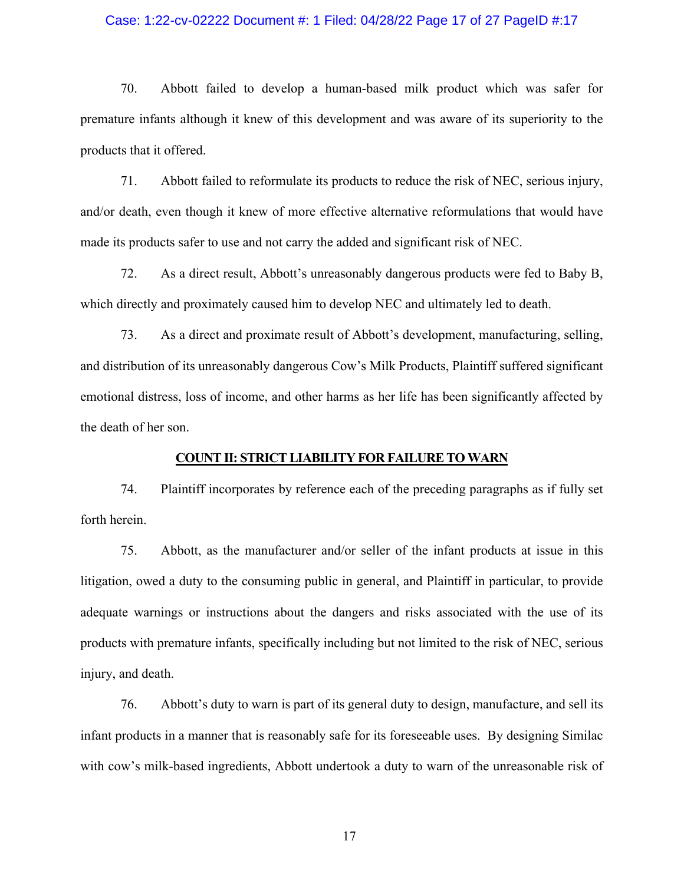### Case: 1:22-cv-02222 Document #: 1 Filed: 04/28/22 Page 17 of 27 PageID #:17

70. Abbott failed to develop a human-based milk product which was safer for premature infants although it knew of this development and was aware of its superiority to the products that it offered.

71. Abbott failed to reformulate its products to reduce the risk of NEC, serious injury, and/or death, even though it knew of more effective alternative reformulations that would have made its products safer to use and not carry the added and significant risk of NEC.

72. As a direct result, Abbott's unreasonably dangerous products were fed to Baby B, which directly and proximately caused him to develop NEC and ultimately led to death.

73. As a direct and proximate result of Abbott's development, manufacturing, selling, and distribution of its unreasonably dangerous Cow's Milk Products, Plaintiff suffered significant emotional distress, loss of income, and other harms as her life has been significantly affected by the death of her son.

### **COUNT II: STRICT LIABILITY FOR FAILURE TO WARN**

74. Plaintiff incorporates by reference each of the preceding paragraphs as if fully set forth herein.

75. Abbott, as the manufacturer and/or seller of the infant products at issue in this litigation, owed a duty to the consuming public in general, and Plaintiff in particular, to provide adequate warnings or instructions about the dangers and risks associated with the use of its products with premature infants, specifically including but not limited to the risk of NEC, serious injury, and death.

76. Abbott's duty to warn is part of its general duty to design, manufacture, and sell its infant products in a manner that is reasonably safe for its foreseeable uses. By designing Similac with cow's milk-based ingredients, Abbott undertook a duty to warn of the unreasonable risk of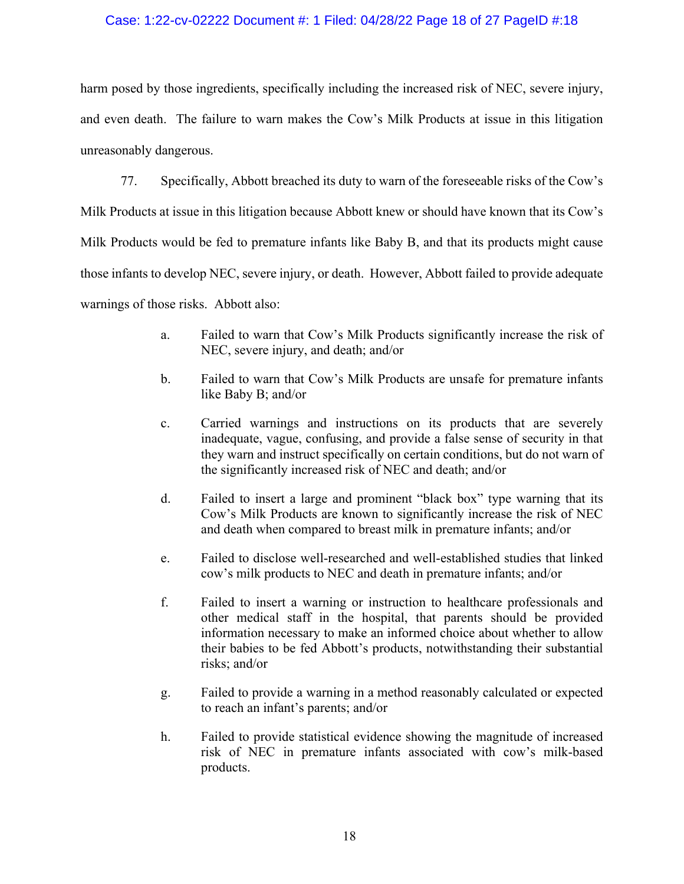## Case: 1:22-cv-02222 Document #: 1 Filed: 04/28/22 Page 18 of 27 PageID #:18

harm posed by those ingredients, specifically including the increased risk of NEC, severe injury, and even death. The failure to warn makes the Cow's Milk Products at issue in this litigation unreasonably dangerous.

77. Specifically, Abbott breached its duty to warn of the foreseeable risks of the Cow's Milk Products at issue in this litigation because Abbott knew or should have known that its Cow's Milk Products would be fed to premature infants like Baby B, and that its products might cause those infants to develop NEC, severe injury, or death. However, Abbott failed to provide adequate warnings of those risks. Abbott also:

- a. Failed to warn that Cow's Milk Products significantly increase the risk of NEC, severe injury, and death; and/or
- b. Failed to warn that Cow's Milk Products are unsafe for premature infants like Baby B; and/or
- c. Carried warnings and instructions on its products that are severely inadequate, vague, confusing, and provide a false sense of security in that they warn and instruct specifically on certain conditions, but do not warn of the significantly increased risk of NEC and death; and/or
- d. Failed to insert a large and prominent "black box" type warning that its Cow's Milk Products are known to significantly increase the risk of NEC and death when compared to breast milk in premature infants; and/or
- e. Failed to disclose well-researched and well-established studies that linked cow's milk products to NEC and death in premature infants; and/or
- f. Failed to insert a warning or instruction to healthcare professionals and other medical staff in the hospital, that parents should be provided information necessary to make an informed choice about whether to allow their babies to be fed Abbott's products, notwithstanding their substantial risks; and/or
- g. Failed to provide a warning in a method reasonably calculated or expected to reach an infant's parents; and/or
- h. Failed to provide statistical evidence showing the magnitude of increased risk of NEC in premature infants associated with cow's milk-based products.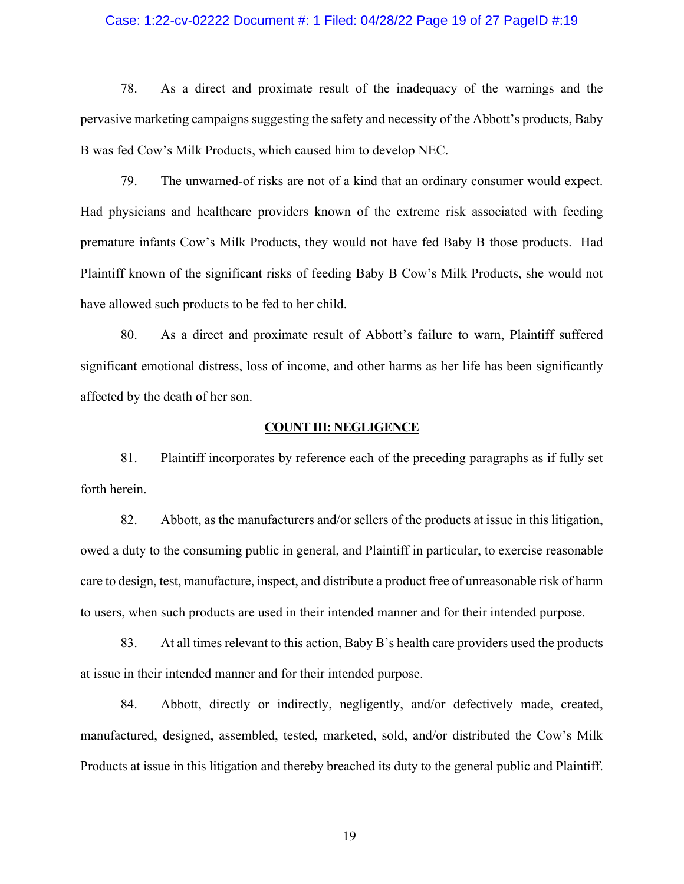### Case: 1:22-cv-02222 Document #: 1 Filed: 04/28/22 Page 19 of 27 PageID #:19

78. As a direct and proximate result of the inadequacy of the warnings and the pervasive marketing campaigns suggesting the safety and necessity of the Abbott's products, Baby B was fed Cow's Milk Products, which caused him to develop NEC.

79. The unwarned-of risks are not of a kind that an ordinary consumer would expect. Had physicians and healthcare providers known of the extreme risk associated with feeding premature infants Cow's Milk Products, they would not have fed Baby B those products. Had Plaintiff known of the significant risks of feeding Baby B Cow's Milk Products, she would not have allowed such products to be fed to her child.

80. As a direct and proximate result of Abbott's failure to warn, Plaintiff suffered significant emotional distress, loss of income, and other harms as her life has been significantly affected by the death of her son.

### **COUNT III: NEGLIGENCE**

81. Plaintiff incorporates by reference each of the preceding paragraphs as if fully set forth herein.

82. Abbott, as the manufacturers and/or sellers of the products at issue in this litigation, owed a duty to the consuming public in general, and Plaintiff in particular, to exercise reasonable care to design, test, manufacture, inspect, and distribute a product free of unreasonable risk of harm to users, when such products are used in their intended manner and for their intended purpose.

83. At all times relevant to this action, Baby B's health care providers used the products at issue in their intended manner and for their intended purpose.

84. Abbott, directly or indirectly, negligently, and/or defectively made, created, manufactured, designed, assembled, tested, marketed, sold, and/or distributed the Cow's Milk Products at issue in this litigation and thereby breached its duty to the general public and Plaintiff.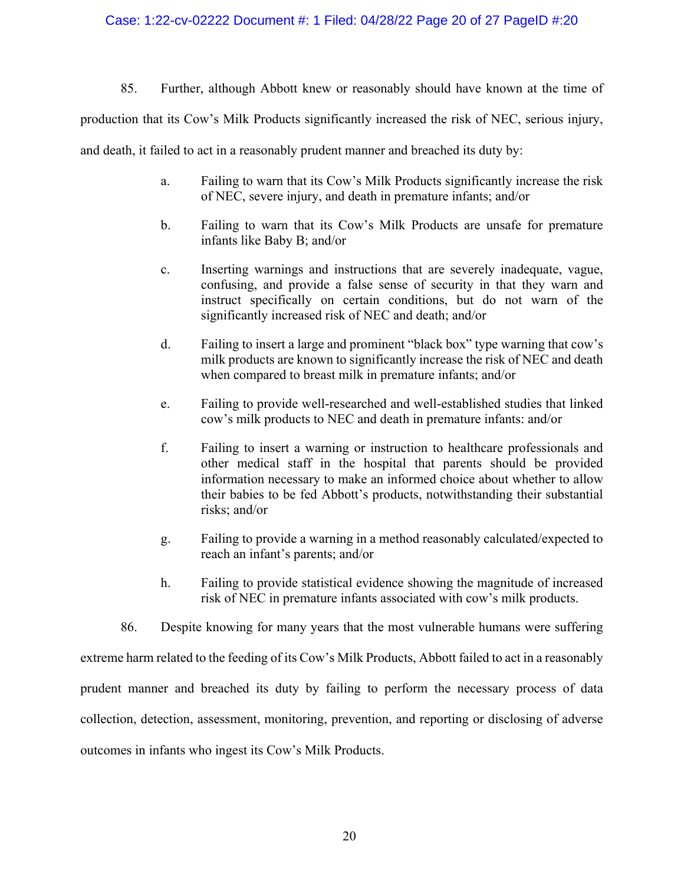## Case: 1:22-cv-02222 Document #: 1 Filed: 04/28/22 Page 20 of 27 PageID #:20

85. Further, although Abbott knew or reasonably should have known at the time of

production that its Cow's Milk Products significantly increased the risk of NEC, serious injury,

and death, it failed to act in a reasonably prudent manner and breached its duty by:

- a. Failing to warn that its Cow's Milk Products significantly increase the risk of NEC, severe injury, and death in premature infants; and/or
- b. Failing to warn that its Cow's Milk Products are unsafe for premature infants like Baby B; and/or
- c. Inserting warnings and instructions that are severely inadequate, vague, confusing, and provide a false sense of security in that they warn and instruct specifically on certain conditions, but do not warn of the significantly increased risk of NEC and death; and/or
- d. Failing to insert a large and prominent "black box" type warning that cow's milk products are known to significantly increase the risk of NEC and death when compared to breast milk in premature infants; and/or
- e. Failing to provide well-researched and well-established studies that linked cow's milk products to NEC and death in premature infants: and/or
- f. Failing to insert a warning or instruction to healthcare professionals and other medical staff in the hospital that parents should be provided information necessary to make an informed choice about whether to allow their babies to be fed Abbott's products, notwithstanding their substantial risks; and/or
- g. Failing to provide a warning in a method reasonably calculated/expected to reach an infant's parents; and/or
- h. Failing to provide statistical evidence showing the magnitude of increased risk of NEC in premature infants associated with cow's milk products.
- 86. Despite knowing for many years that the most vulnerable humans were suffering

extreme harm related to the feeding of its Cow's Milk Products, Abbott failed to act in a reasonably

prudent manner and breached its duty by failing to perform the necessary process of data

collection, detection, assessment, monitoring, prevention, and reporting or disclosing of adverse

outcomes in infants who ingest its Cow's Milk Products.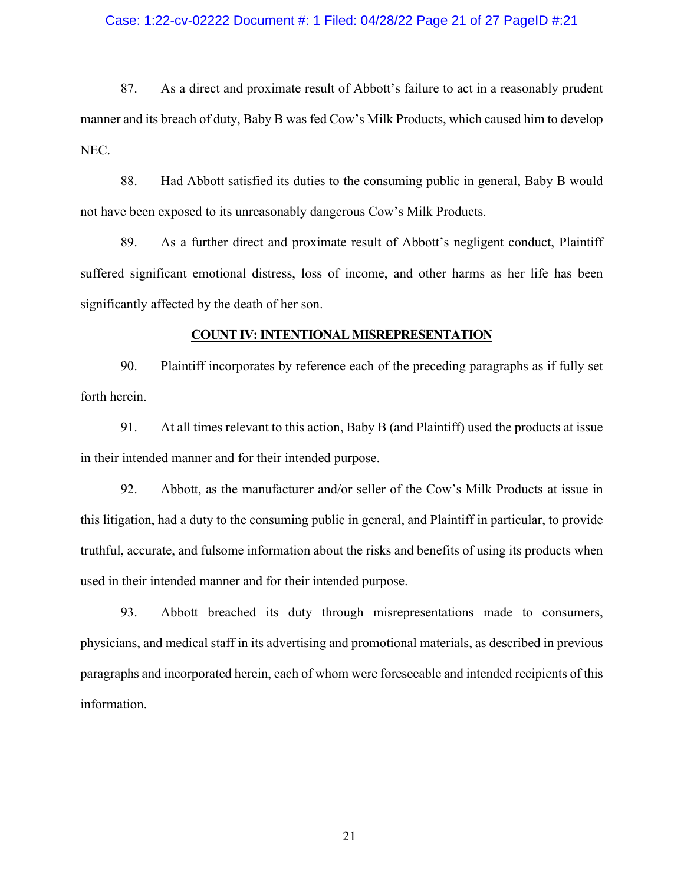### Case: 1:22-cv-02222 Document #: 1 Filed: 04/28/22 Page 21 of 27 PageID #:21

87. As a direct and proximate result of Abbott's failure to act in a reasonably prudent manner and its breach of duty, Baby B was fed Cow's Milk Products, which caused him to develop NEC.

88. Had Abbott satisfied its duties to the consuming public in general, Baby B would not have been exposed to its unreasonably dangerous Cow's Milk Products.

89. As a further direct and proximate result of Abbott's negligent conduct, Plaintiff suffered significant emotional distress, loss of income, and other harms as her life has been significantly affected by the death of her son.

### **COUNT IV: INTENTIONAL MISREPRESENTATION**

90. Plaintiff incorporates by reference each of the preceding paragraphs as if fully set forth herein.

91. At all times relevant to this action, Baby B (and Plaintiff) used the products at issue in their intended manner and for their intended purpose.

92. Abbott, as the manufacturer and/or seller of the Cow's Milk Products at issue in this litigation, had a duty to the consuming public in general, and Plaintiff in particular, to provide truthful, accurate, and fulsome information about the risks and benefits of using its products when used in their intended manner and for their intended purpose.

93. Abbott breached its duty through misrepresentations made to consumers, physicians, and medical staff in its advertising and promotional materials, as described in previous paragraphs and incorporated herein, each of whom were foreseeable and intended recipients of this information.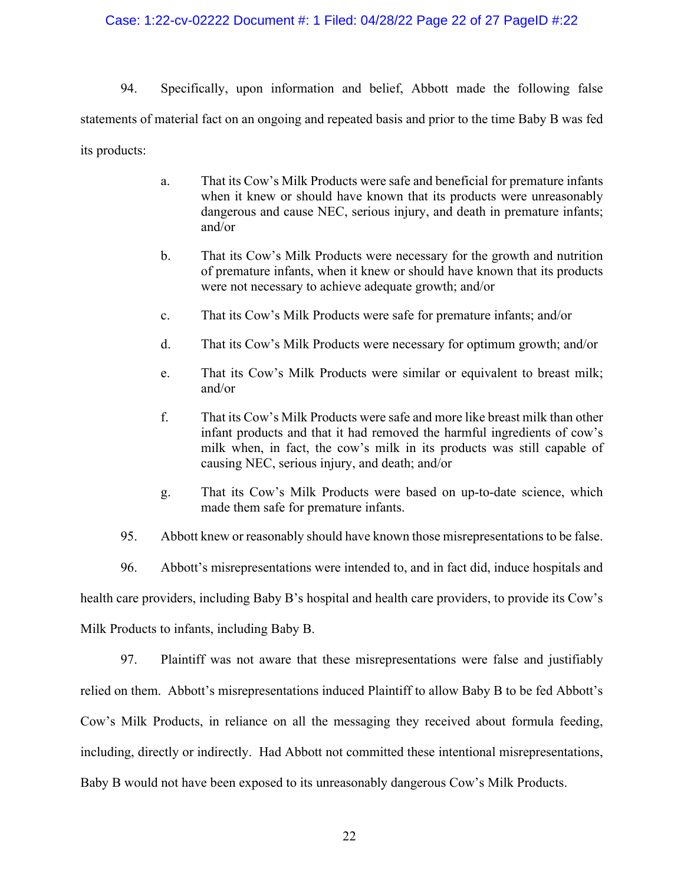## Case: 1:22-cv-02222 Document #: 1 Filed: 04/28/22 Page 22 of 27 PageID #:22

94. Specifically, upon information and belief, Abbott made the following false statements of material fact on an ongoing and repeated basis and prior to the time Baby B was fed its products:

- a. That its Cow's Milk Products were safe and beneficial for premature infants when it knew or should have known that its products were unreasonably dangerous and cause NEC, serious injury, and death in premature infants; and/or
- b. That its Cow's Milk Products were necessary for the growth and nutrition of premature infants, when it knew or should have known that its products were not necessary to achieve adequate growth; and/or
- c. That its Cow's Milk Products were safe for premature infants; and/or
- d. That its Cow's Milk Products were necessary for optimum growth; and/or
- e. That its Cow's Milk Products were similar or equivalent to breast milk; and/or
- f. That its Cow's Milk Products were safe and more like breast milk than other infant products and that it had removed the harmful ingredients of cow's milk when, in fact, the cow's milk in its products was still capable of causing NEC, serious injury, and death; and/or
- g. That its Cow's Milk Products were based on up-to-date science, which made them safe for premature infants.
- 95. Abbott knew or reasonably should have known those misrepresentations to be false.

96. Abbott's misrepresentations were intended to, and in fact did, induce hospitals and health care providers, including Baby B's hospital and health care providers, to provide its Cow's Milk Products to infants, including Baby B.

97. Plaintiff was not aware that these misrepresentations were false and justifiably relied on them. Abbott's misrepresentations induced Plaintiff to allow Baby B to be fed Abbott's Cow's Milk Products, in reliance on all the messaging they received about formula feeding, including, directly or indirectly. Had Abbott not committed these intentional misrepresentations, Baby B would not have been exposed to its unreasonably dangerous Cow's Milk Products.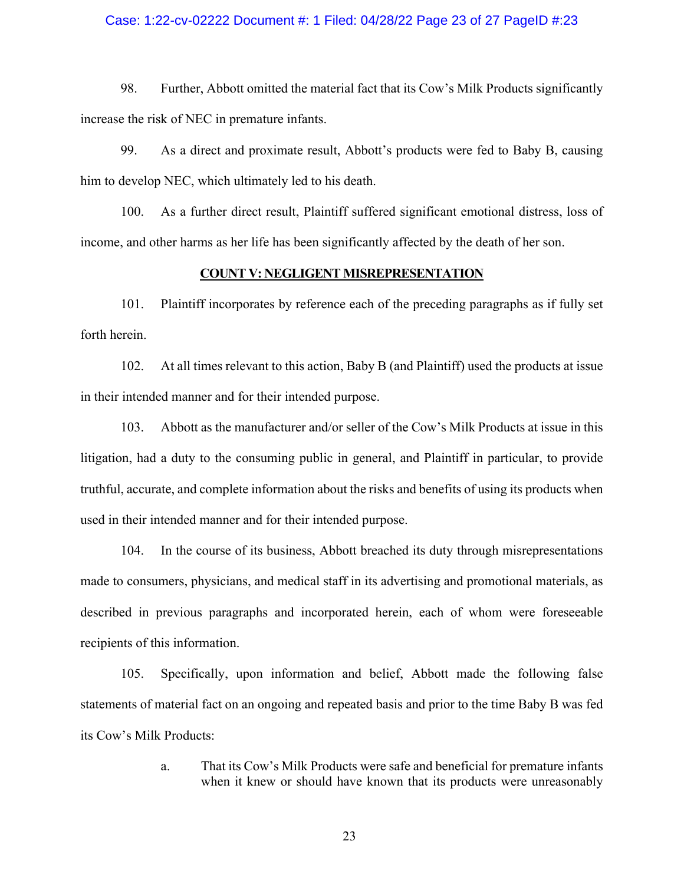### Case: 1:22-cv-02222 Document #: 1 Filed: 04/28/22 Page 23 of 27 PageID #:23

98. Further, Abbott omitted the material fact that its Cow's Milk Products significantly increase the risk of NEC in premature infants.

99. As a direct and proximate result, Abbott's products were fed to Baby B, causing him to develop NEC, which ultimately led to his death.

100. As a further direct result, Plaintiff suffered significant emotional distress, loss of income, and other harms as her life has been significantly affected by the death of her son.

### **COUNT V: NEGLIGENT MISREPRESENTATION**

101. Plaintiff incorporates by reference each of the preceding paragraphs as if fully set forth herein.

102. At all times relevant to this action, Baby B (and Plaintiff) used the products at issue in their intended manner and for their intended purpose.

103. Abbott as the manufacturer and/or seller of the Cow's Milk Products at issue in this litigation, had a duty to the consuming public in general, and Plaintiff in particular, to provide truthful, accurate, and complete information about the risks and benefits of using its products when used in their intended manner and for their intended purpose.

104. In the course of its business, Abbott breached its duty through misrepresentations made to consumers, physicians, and medical staff in its advertising and promotional materials, as described in previous paragraphs and incorporated herein, each of whom were foreseeable recipients of this information.

105. Specifically, upon information and belief, Abbott made the following false statements of material fact on an ongoing and repeated basis and prior to the time Baby B was fed its Cow's Milk Products:

> a. That its Cow's Milk Products were safe and beneficial for premature infants when it knew or should have known that its products were unreasonably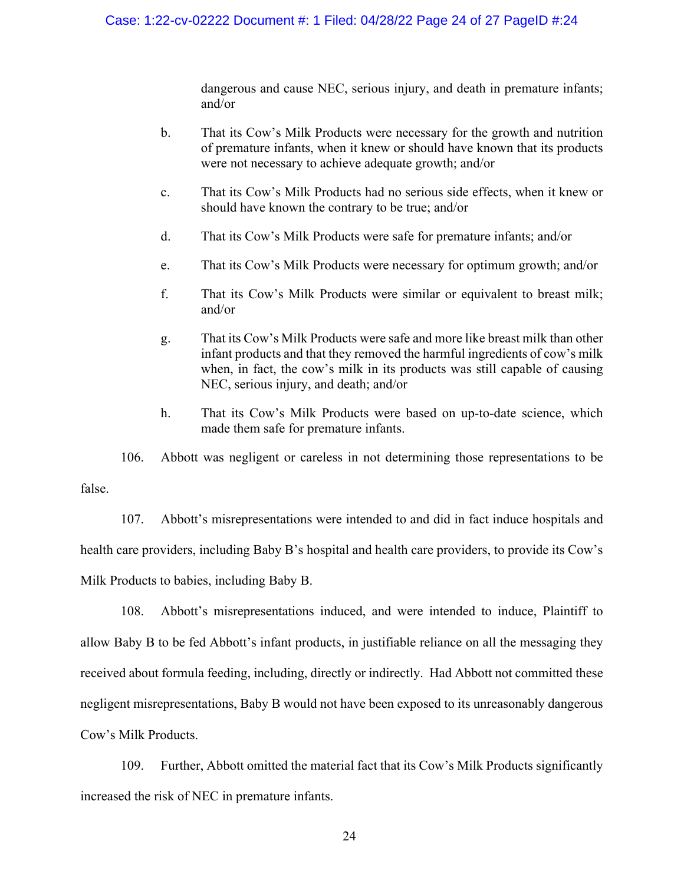dangerous and cause NEC, serious injury, and death in premature infants; and/or

- b. That its Cow's Milk Products were necessary for the growth and nutrition of premature infants, when it knew or should have known that its products were not necessary to achieve adequate growth; and/or
- c. That its Cow's Milk Products had no serious side effects, when it knew or should have known the contrary to be true; and/or
- d. That its Cow's Milk Products were safe for premature infants; and/or
- e. That its Cow's Milk Products were necessary for optimum growth; and/or
- f. That its Cow's Milk Products were similar or equivalent to breast milk; and/or
- g. That its Cow's Milk Products were safe and more like breast milk than other infant products and that they removed the harmful ingredients of cow's milk when, in fact, the cow's milk in its products was still capable of causing NEC, serious injury, and death; and/or
- h. That its Cow's Milk Products were based on up-to-date science, which made them safe for premature infants.

106. Abbott was negligent or careless in not determining those representations to be false.

107. Abbott's misrepresentations were intended to and did in fact induce hospitals and health care providers, including Baby B's hospital and health care providers, to provide its Cow's Milk Products to babies, including Baby B.

108. Abbott's misrepresentations induced, and were intended to induce, Plaintiff to allow Baby B to be fed Abbott's infant products, in justifiable reliance on all the messaging they received about formula feeding, including, directly or indirectly. Had Abbott not committed these negligent misrepresentations, Baby B would not have been exposed to its unreasonably dangerous Cow's Milk Products.

109. Further, Abbott omitted the material fact that its Cow's Milk Products significantly increased the risk of NEC in premature infants.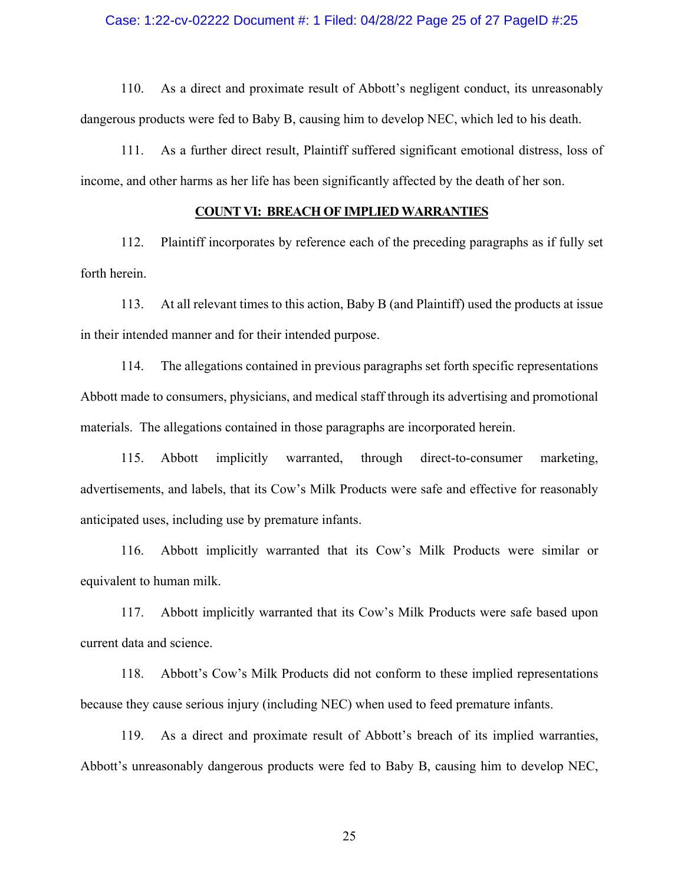### Case: 1:22-cv-02222 Document #: 1 Filed: 04/28/22 Page 25 of 27 PageID #:25

110. As a direct and proximate result of Abbott's negligent conduct, its unreasonably dangerous products were fed to Baby B, causing him to develop NEC, which led to his death.

111. As a further direct result, Plaintiff suffered significant emotional distress, loss of income, and other harms as her life has been significantly affected by the death of her son.

### **COUNT VI: BREACH OF IMPLIED WARRANTIES**

112. Plaintiff incorporates by reference each of the preceding paragraphs as if fully set forth herein.

113. At all relevant times to this action, Baby B (and Plaintiff) used the products at issue in their intended manner and for their intended purpose.

114. The allegations contained in previous paragraphs set forth specific representations Abbott made to consumers, physicians, and medical staff through its advertising and promotional materials. The allegations contained in those paragraphs are incorporated herein.

115. Abbott implicitly warranted, through direct-to-consumer marketing, advertisements, and labels, that its Cow's Milk Products were safe and effective for reasonably anticipated uses, including use by premature infants.

116. Abbott implicitly warranted that its Cow's Milk Products were similar or equivalent to human milk.

117. Abbott implicitly warranted that its Cow's Milk Products were safe based upon current data and science.

118. Abbott's Cow's Milk Products did not conform to these implied representations because they cause serious injury (including NEC) when used to feed premature infants.

119. As a direct and proximate result of Abbott's breach of its implied warranties, Abbott's unreasonably dangerous products were fed to Baby B, causing him to develop NEC,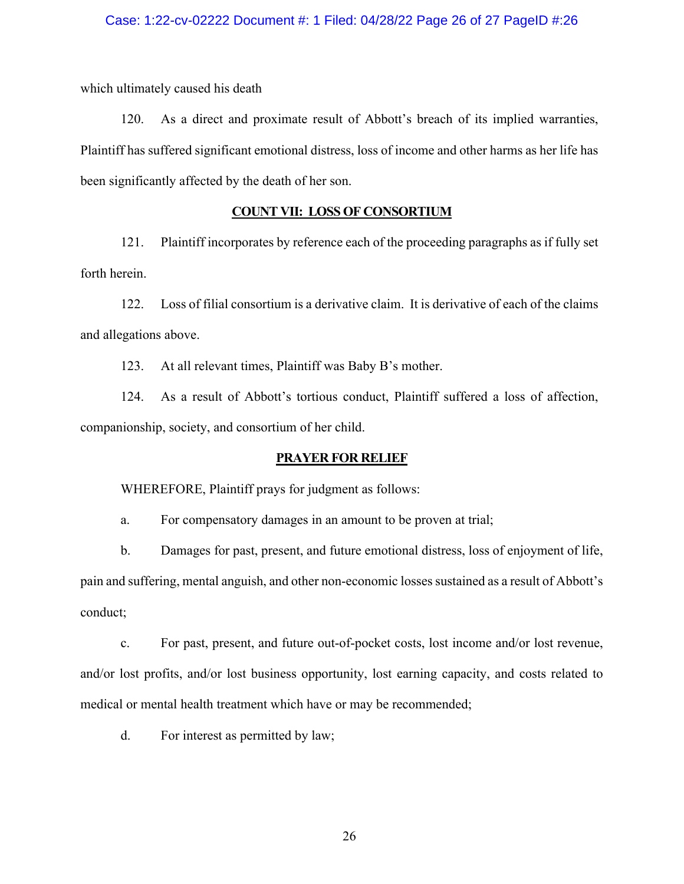which ultimately caused his death

120. As a direct and proximate result of Abbott's breach of its implied warranties, Plaintiff has suffered significant emotional distress, loss of income and other harms as her life has been significantly affected by the death of her son.

## **COUNT VII: LOSS OF CONSORTIUM**

121. Plaintiff incorporates by reference each of the proceeding paragraphs as if fully set forth herein.

122. Loss of filial consortium is a derivative claim. It is derivative of each of the claims and allegations above.

123. At all relevant times, Plaintiff was Baby B's mother.

124. As a result of Abbott's tortious conduct, Plaintiff suffered a loss of affection, companionship, society, and consortium of her child.

### **PRAYER FOR RELIEF**

WHEREFORE, Plaintiff prays for judgment as follows:

a. For compensatory damages in an amount to be proven at trial;

b. Damages for past, present, and future emotional distress, loss of enjoyment of life, pain and suffering, mental anguish, and other non-economic losses sustained as a result of Abbott's conduct;

c. For past, present, and future out-of-pocket costs, lost income and/or lost revenue, and/or lost profits, and/or lost business opportunity, lost earning capacity, and costs related to medical or mental health treatment which have or may be recommended;

d. For interest as permitted by law;